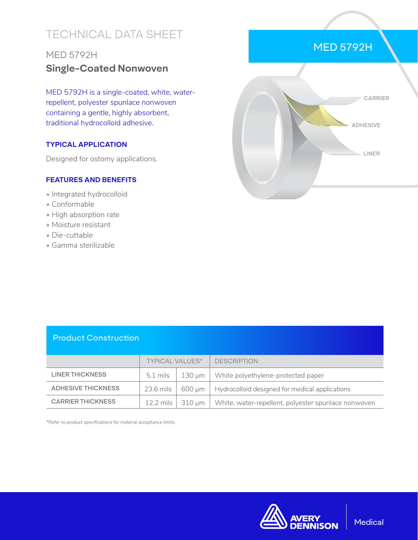# TECHNICAL DATA SHEET

## MED 5792H **Single-Coated Nonwoven**

MED 5792H is a single-coated, white, waterrepellent, polyester spunlace nonwoven containing a gentle, highly absorbent, traditional hydrocolloid adhesive.

#### **TYPICAL APPLICATION**

Designed for ostomy applications.

#### **FEATURES AND BENEFITS**

- Integrated hydrocolloid
- Conformable
- High absorption rate
- Moisture resistant
- Die-cuttable
- Gamma sterilizable



#### Product Construction

|                           | <b>TYPICAL VALUES*</b> |        | <b>DESCRIPTION</b>                                  |
|---------------------------|------------------------|--------|-----------------------------------------------------|
| LINER THICKNESS           | $5.1 \text{ miles}$    | 130 um | White polyethylene-protected paper                  |
| <b>ADHESIVE THICKNESS</b> | 23.6 mils              | 600 um | Hydrocolloid designed for medical applications      |
| <b>CARRIER THICKNESS</b>  | 12.2 mils              | 310 um | White, water-repellent, polyester spunlace nonwoven |

\*Refer to product specifications for material acceptance limits.